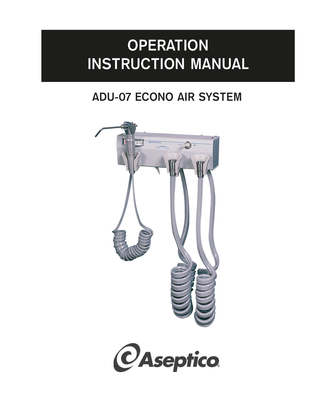# **OPERATION INSTRUCTION MANUAL**

# **ADU-07 ECONO AIR SYSTEM**



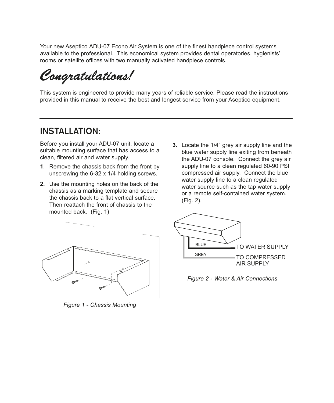Your new Aseptico ADU-07 Econo Air System is one of the finest handpiece control systems available to the professional. This economical system provides dental operatories, hygienists' rooms or satellite offices with two manually activated handpiece controls.

*Congratulations!*

This system is engineered to provide many years of reliable service. Please read the instructions provided in this manual to receive the best and longest service from your Aseptico equipment.

### **INSTALLATION:**

Before you install your ADU-07 unit, locate a suitable mounting surface that has access to a clean, filtered air and water supply.

- **1**. Remove the chassis back from the front by unscrewing the 6-32 x 1/4 holding screws.
- **2.** Use the mounting holes on the back of the chassis as a marking template and secure the chassis back to a flat vertical surface. Then reattach the front of chassis to the mounted back. (Fig. 1)
- **3.** Locate the 1/4" grey air supply line and the blue water supply line exiting from beneath the ADU-07 console. Connect the grey air supply line to a clean regulated 60-90 PSI compressed air supply. Connect the blue water supply line to a clean regulated water source such as the tap water supply or a remote self-contained water system. (Fig. 2).



*Figure 1 - Chassis Mounting*



*Figure 2 - Water & Air Connections*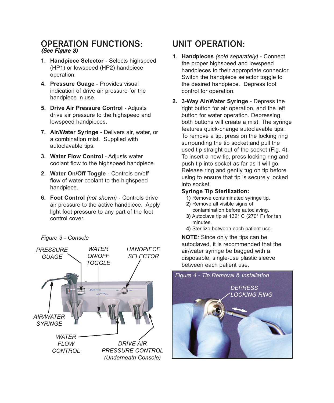#### **OPERATION FUNCTIONS: (See Figure 3)**

- **1**. **Handpiece Selector** Selects highspeed (HP1) or lowspeed (HP2) handpiece operation.
- **4. Pressure Guage** Provides visual indication of drive air pressure for the handpiece in use.
- **5. Drive Air Pressure Control** Adjusts drive air pressure to the highspeed and lowspeed handpieces.
- **7. Air/Water Syringe**  Delivers air, water, or a combination mist. Supplied with autoclavable tips.
- **3. Water Flow Control** Adjusts water coolant flow to the highspeed handpiece.
- **2. Water On/Off Toggle** Controls on/off flow of water coolant to the highspeed handpiece.
- **6. Foot Control** *(not shown)*  Controls drive air pressure to the active handpiece. Apply light foot pressure to any part of the foot control cover.

*Figure 3 - Console* 



# **UNIT OPERATION:**

- **1**. **Handpieces** *(sold separately)* Connect the proper highspeed and lowspeed handpieces to their appropriate connector. Switch the handpiece selector toggle to the desired handpiece. Depress foot control for operation.
- **2. 3-Way Air/Water Syringe** Depress the right button for air operation, and the left button for water operation. Depressing both buttons will create a mist. The syringe features quick-change autoclavable tips: To remove a tip, press on the locking ring surrounding the tip socket and pull the used tip straight out of the socket (Fig. 4). To insert a new tip, press locking ring and push tip into socket as far as it will go. Release ring and gently tug on tip before using to ensure that tip is securely locked into socket.

#### **Syringe Tip Sterilization:**

- **1)** Remove contaminated syringe tip.
- **2)** Remove all visible signs of contamination before autoclaving.
- **3)** Autoclave tip at 132° C (270° F) for ten minutes.
- **4)** Sterilize between each patient use.

**NOTE**: Since only the tips can be autoclaved, it is recommended that the air/water syringe be bagged with a disposable, single-use plastic sleeve between each patient use.